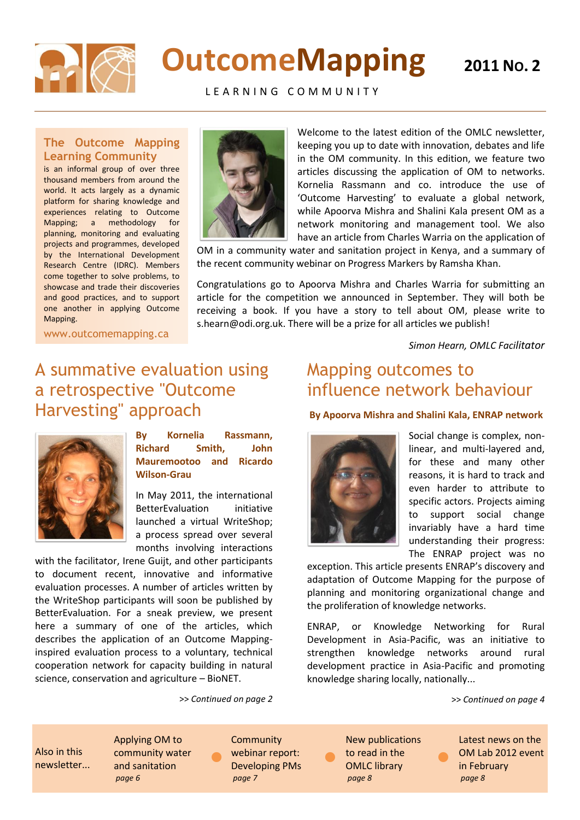

# **OutcomeMapping**

LEARNING COMMUNITY

### **The Outcome Mapping Learning Community**

is an informal group of over three thousand members from around the world. It acts largely as a dynamic platform for sharing knowledge and experiences relating to Outcome Mapping; a methodology for planning, monitoring and evaluating projects and programmes, developed by the International Development Research Centre (IDRC). Members come together to solve problems, to showcase and trade their discoveries and good practices, and to support one another in applying Outcome Mapping.



Welcome to the latest edition of the OMLC newsletter, keeping you up to date with innovation, debates and life in the OM community. In this edition, we feature two articles discussing the application of OM to networks. Kornelia Rassmann and co. introduce the use of 'Outcome Harvesting' to evaluate a global network, while Apoorva Mishra and Shalini Kala present OM as a network monitoring and management tool. We also have an article from Charles Warria on the application of

OM in a community water and sanitation project in Kenya, and a summary of the recent community webinar on Progress Markers by Ramsha Khan.

Congratulations go to Apoorva Mishra and Charles Warria for submitting an article for the competition we announced in September. They will both be receiving a book. If you have a story to tell about OM, please write to s.hearn@odi.org.uk. There will be a prize for all articles we publish!

*Simon Hearn, OMLC Facilitator*

www.outcomemapping.ca

### A summative evaluation using a retrospective "Outcome Harvesting" approach



**By Kornelia Rassmann, Richard Smith, John Mauremootoo and Ricardo Wilson-Grau**

In May 2011, the international BetterEvaluation initiative launched a virtual WriteShop; a process spread over several months involving interactions

with the facilitator, Irene Guijt, and other participants to document recent, innovative and informative evaluation processes. A number of articles written by the WriteShop participants will soon be published by BetterEvaluation. For a sneak preview, we present here a summary of one of the articles, which describes the application of an Outcome Mappinginspired evaluation process to a voluntary, technical cooperation network for capacity building in natural science, conservation and agriculture – BioNET.

>> *Continued on page 2*

 $\bullet$ 

### Mapping outcomes to influence network behaviour

### **By Apoorva Mishra and Shalini Kala, ENRAP network**



Social change is complex, nonlinear, and multi-layered and, for these and many other reasons, it is hard to track and even harder to attribute to specific actors. Projects aiming to support social change invariably have a hard time understanding their progress: The ENRAP project was no

exception. This article presents ENRAP's discovery and adaptation of Outcome Mapping for the purpose of planning and monitoring organizational change and the proliferation of knowledge networks.

ENRAP, or Knowledge Networking for Rural Development in Asia-Pacific, was an initiative to strengthen knowledge networks around rural development practice in Asia-Pacific and promoting knowledge sharing locally, nationally...

 $\bullet$ 

>> *Continued on page 4*

Also in this newsletter... Applying OM to community water and sanitation *page 6*

**Community** webinar report: Developing PMs *page 7*

New publications to read in the OMLC library *page 8*

 $\bullet$ 

Latest news on the OM Lab 2012 event in February *page 8*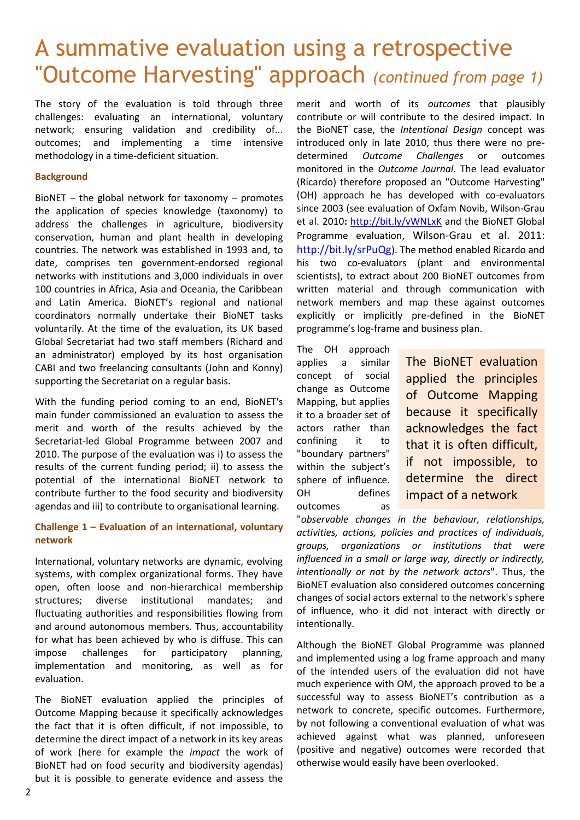### A summative evaluation using a retrospective "Outcome Harvesting" approach *(continued from page 1)*

The story of the evaluation is told through three challenges: evaluating an international, voluntary network; ensuring validation and credibility of... outcomes; and implementing a time intensive methodology in a time-deficient situation.

### **Background**

BioNET – the global network for taxonomy – promotes the application of species knowledge (taxonomy) to address the challenges in agriculture, biodiversity conservation, human and plant health in developing countries. The network was established in 1993 and, to date, comprises ten government-endorsed regional networks with institutions and 3,000 individuals in over 100 countries in Africa, Asia and Oceania, the Caribbean and Latin America. BioNET's regional and national coordinators normally undertake their BioNET tasks voluntarily. At the time of the evaluation, its UK based Global Secretariat had two staff members (Richard and an administrator) employed by its host organisation CABI and two freelancing consultants (John and Konny) supporting the Secretariat on a regular basis.

With the funding period coming to an end, BioNET's main funder commissioned an evaluation to assess the merit and worth of the results achieved by the Secretariat-led Global Programme between 2007 and 2010. The purpose of the evaluation was i) to assess the results of the current funding period; ii) to assess the potential of the international BioNET network to contribute further to the food security and biodiversity agendas and iii) to contribute to organisational learning.

### **Challenge 1 – Evaluation of an international, voluntary network**

International, voluntary networks are dynamic, evolving systems, with complex organizational forms. They have open, often loose and non-hierarchical membership structures; diverse institutional mandates; and fluctuating authorities and responsibilities flowing from and around autonomous members. Thus, accountability for what has been achieved by who is diffuse. This can impose challenges for participatory planning, implementation and monitoring, as well as for evaluation.

The BioNET evaluation applied the principles of Outcome Mapping because it specifically acknowledges the fact that it is often difficult, if not impossible, to determine the direct impact of a network in its key areas of work (here for example the *impact* the work of BioNET had on food security and biodiversity agendas) but it is possible to generate evidence and assess the

merit and worth of its *outcomes* that plausibly contribute or will contribute to the desired impact*.* In the BioNET case, the *Intentional Design* concept was introduced only in late 2010, thus there were no predetermined *Outcome Challenges* or outcomes monitored in the *Outcome Journal*. The lead evaluator (Ricardo) therefore proposed an "Outcome Harvesting" (OH) approach he has developed with co-evaluators since 2003 (see evaluation of Oxfam Novib, Wilson-Grau et al. 2010**:** <http://bit.ly/vWNLxK> and the BioNET Global Programme evaluation, Wilson-Grau et al. 2011: <http://bit.ly/srPuQg>). The method enabled Ricardo and his two co-evaluators (plant and environmental scientists), to extract about 200 BioNET outcomes from written material and through communication with network members and map these against outcomes explicitly or implicitly pre-defined in the BioNET programme's log-frame and business plan.

The OH approach applies a similar concept of social change as Outcome Mapping, but applies it to a broader set of actors rather than confining it to "boundary partners" within the subject's sphere of influence. OH defines outcomes as

The BioNET evaluation applied the principles of Outcome Mapping because it specifically acknowledges the fact that it is often difficult, if not impossible, to determine the direct impact of a network

"*observable changes in the behaviour, relationships, activities, actions, policies and practices of individuals, groups, organizations or institutions that were influenced in a small or large way, directly or indirectly, intentionally or not by the network actors*". Thus, the BioNET evaluation also considered outcomes concerning changes of social actors external to the network's sphere of influence, who it did not interact with directly or intentionally.

Although the BioNET Global Programme was planned and implemented using a log frame approach and many of the intended users of the evaluation did not have much experience with OM, the approach proved to be a successful way to assess BioNET's contribution as a network to concrete, specific outcomes. Furthermore, by not following a conventional evaluation of what was achieved against what was planned, unforeseen (positive and negative) outcomes were recorded that otherwise would easily have been overlooked.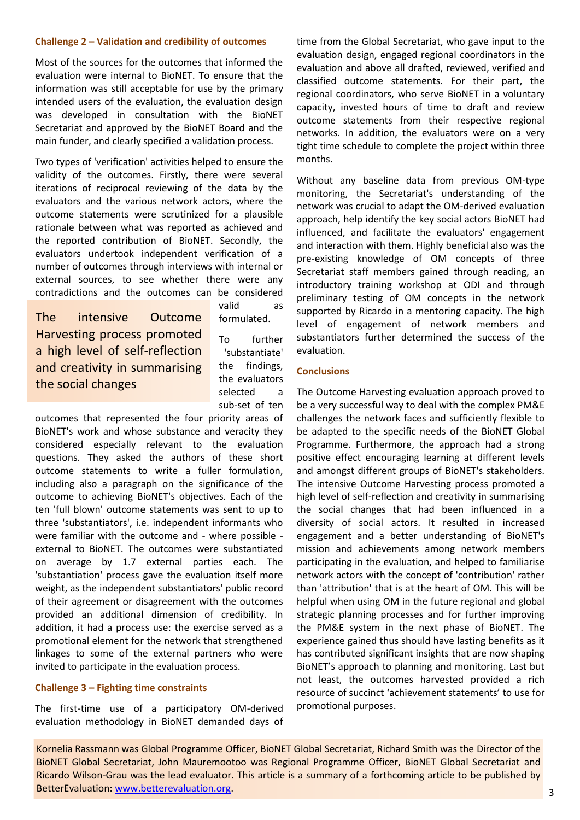#### **Challenge 2 – Validation and credibility of outcomes**

Most of the sources for the outcomes that informed the evaluation were internal to BioNET. To ensure that the information was still acceptable for use by the primary intended users of the evaluation, the evaluation design was developed in consultation with the BioNET Secretariat and approved by the BioNET Board and the main funder, and clearly specified a validation process.

Two types of 'verification' activities helped to ensure the validity of the outcomes. Firstly, there were several iterations of reciprocal reviewing of the data by the evaluators and the various network actors, where the outcome statements were scrutinized for a plausible rationale between what was reported as achieved and the reported contribution of BioNET. Secondly, the evaluators undertook independent verification of a number of outcomes through interviews with internal or external sources, to see whether there were any contradictions and the outcomes can be considered

The intensive Outcome Harvesting process promoted a high level of self-reflection and creativity in summarising the social changes

valid as formulated.

To further 'substantiate' the findings, the evaluators selected a sub-set of ten

outcomes that represented the four priority areas of BioNET's work and whose substance and veracity they considered especially relevant to the evaluation questions. They asked the authors of these short outcome statements to write a fuller formulation, including also a paragraph on the significance of the outcome to achieving BioNET's objectives. Each of the ten 'full blown' outcome statements was sent to up to three 'substantiators', i.e. independent informants who were familiar with the outcome and - where possible external to BioNET. The outcomes were substantiated on average by 1.7 external parties each. The 'substantiation' process gave the evaluation itself more weight, as the independent substantiators' public record of their agreement or disagreement with the outcomes provided an additional dimension of credibility. In addition, it had a process use: the exercise served as a promotional element for the network that strengthened linkages to some of the external partners who were invited to participate in the evaluation process.

### **Challenge 3 – Fighting time constraints**

The first-time use of a participatory OM-derived evaluation methodology in BioNET demanded days of time from the Global Secretariat, who gave input to the evaluation design, engaged regional coordinators in the evaluation and above all drafted, reviewed, verified and classified outcome statements. For their part, the regional coordinators, who serve BioNET in a voluntary capacity, invested hours of time to draft and review outcome statements from their respective regional networks. In addition, the evaluators were on a very tight time schedule to complete the project within three months.

Without any baseline data from previous OM-type monitoring, the Secretariat's understanding of the network was crucial to adapt the OM-derived evaluation approach, help identify the key social actors BioNET had influenced, and facilitate the evaluators' engagement and interaction with them. Highly beneficial also was the pre-existing knowledge of OM concepts of three Secretariat staff members gained through reading, an introductory training workshop at ODI and through preliminary testing of OM concepts in the network supported by Ricardo in a mentoring capacity. The high level of engagement of network members and substantiators further determined the success of the evaluation.

#### **Conclusions**

The Outcome Harvesting evaluation approach proved to be a very successful way to deal with the complex PM&E challenges the network faces and sufficiently flexible to be adapted to the specific needs of the BioNET Global Programme. Furthermore, the approach had a strong positive effect encouraging learning at different levels and amongst different groups of BioNET's stakeholders. The intensive Outcome Harvesting process promoted a high level of self-reflection and creativity in summarising the social changes that had been influenced in a diversity of social actors. It resulted in increased engagement and a better understanding of BioNET's mission and achievements among network members participating in the evaluation, and helped to familiarise network actors with the concept of 'contribution' rather than 'attribution' that is at the heart of OM. This will be helpful when using OM in the future regional and global strategic planning processes and for further improving the PM&E system in the next phase of BioNET. The experience gained thus should have lasting benefits as it has contributed significant insights that are now shaping BioNET's approach to planning and monitoring. Last but not least, the outcomes harvested provided a rich resource of succinct 'achievement statements' to use for promotional purposes.

Kornelia Rassmann was Global Programme Officer, BioNET Global Secretariat, Richard Smith was the Director of the BioNET Global Secretariat, John Mauremootoo was Regional Programme Officer, BioNET Global Secretariat and Ricardo Wilson-Grau was the lead evaluator. This article is a summary of a forthcoming article to be published by BetterEvaluation: [www.betterevaluation.org.](http://www.betterevaluation.org/)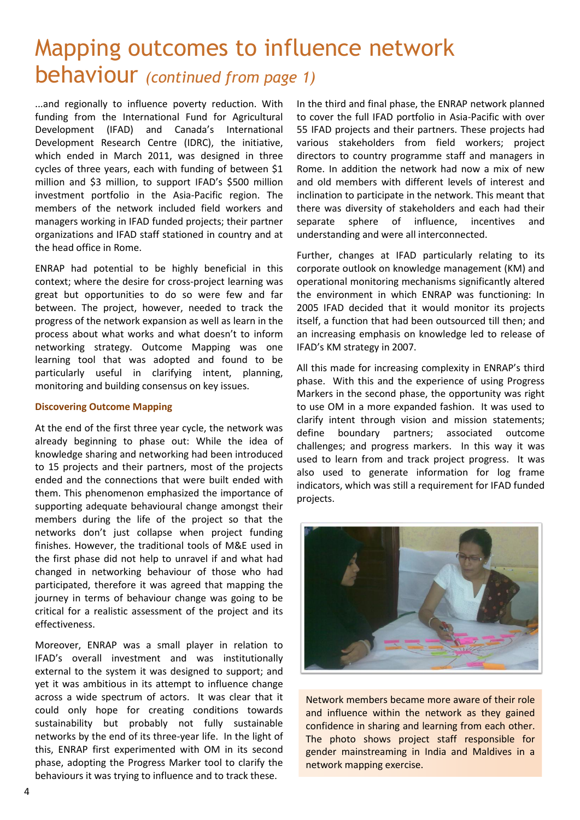### Mapping outcomes to influence network behaviour *(continued from page 1)*

...and regionally to influence poverty reduction. With funding from the International Fund for Agricultural Development (IFAD) and Canada's International Development Research Centre (IDRC), the initiative, which ended in March 2011, was designed in three cycles of three years, each with funding of between \$1 million and \$3 million, to support IFAD's \$500 million investment portfolio in the Asia-Pacific region. The members of the network included field workers and managers working in IFAD funded projects; their partner organizations and IFAD staff stationed in country and at the head office in Rome.

ENRAP had potential to be highly beneficial in this context; where the desire for cross-project learning was great but opportunities to do so were few and far between. The project, however, needed to track the progress of the network expansion as well as learn in the process about what works and what doesn't to inform networking strategy. Outcome Mapping was one learning tool that was adopted and found to be particularly useful in clarifying intent, planning, monitoring and building consensus on key issues.

#### **Discovering Outcome Mapping**

At the end of the first three year cycle, the network was already beginning to phase out: While the idea of knowledge sharing and networking had been introduced to 15 projects and their partners, most of the projects ended and the connections that were built ended with them. This phenomenon emphasized the importance of supporting adequate behavioural change amongst their members during the life of the project so that the networks don't just collapse when project funding finishes. However, the traditional tools of M&E used in the first phase did not help to unravel if and what had changed in networking behaviour of those who had participated, therefore it was agreed that mapping the journey in terms of behaviour change was going to be critical for a realistic assessment of the project and its effectiveness.

Moreover, ENRAP was a small player in relation to IFAD's overall investment and was institutionally external to the system it was designed to support; and yet it was ambitious in its attempt to influence change across a wide spectrum of actors. It was clear that it could only hope for creating conditions towards sustainability but probably not fully sustainable networks by the end of its three-year life. In the light of this, ENRAP first experimented with OM in its second phase, adopting the Progress Marker tool to clarify the behaviours it was trying to influence and to track these.

In the third and final phase, the ENRAP network planned to cover the full IFAD portfolio in Asia-Pacific with over 55 IFAD projects and their partners. These projects had various stakeholders from field workers; project directors to country programme staff and managers in Rome. In addition the network had now a mix of new and old members with different levels of interest and inclination to participate in the network. This meant that there was diversity of stakeholders and each had their separate sphere of influence, incentives and understanding and were all interconnected.

Further, changes at IFAD particularly relating to its corporate outlook on knowledge management (KM) and operational monitoring mechanisms significantly altered the environment in which ENRAP was functioning: In 2005 IFAD decided that it would monitor its projects itself, a function that had been outsourced till then; and an increasing emphasis on knowledge led to release of IFAD's KM strategy in 2007.

All this made for increasing complexity in ENRAP's third phase. With this and the experience of using Progress Markers in the second phase, the opportunity was right to use OM in a more expanded fashion. It was used to clarify intent through vision and mission statements; define boundary partners; associated outcome challenges; and progress markers. In this way it was used to learn from and track project progress. It was also used to generate information for log frame indicators, which was still a requirement for IFAD funded projects.



Network members became more aware of their role and influence within the network as they gained confidence in sharing and learning from each other. The photo shows project staff responsible for gender mainstreaming in India and Maldives in a network mapping exercise.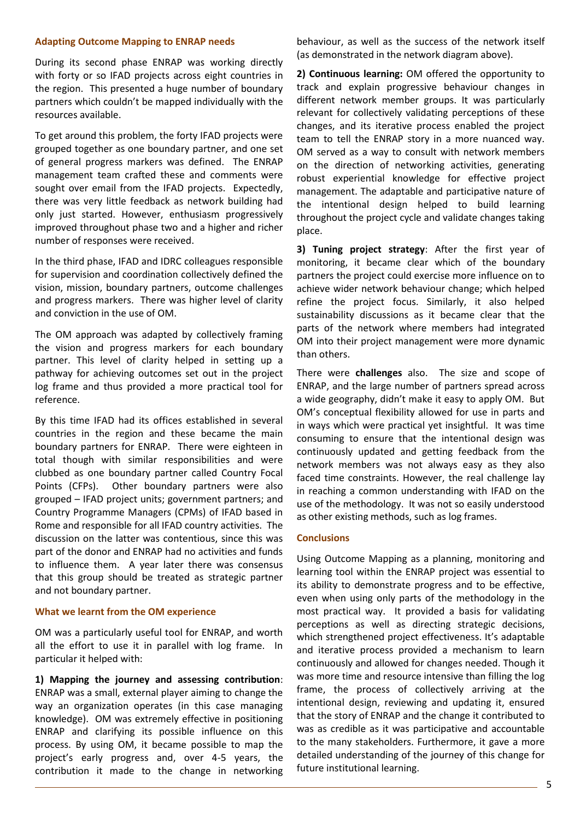#### **Adapting Outcome Mapping to ENRAP needs**

During its second phase ENRAP was working directly with forty or so IFAD projects across eight countries in the region. This presented a huge number of boundary partners which couldn't be mapped individually with the resources available.

To get around this problem, the forty IFAD projects were grouped together as one boundary partner, and one set of general progress markers was defined. The ENRAP management team crafted these and comments were sought over email from the IFAD projects. Expectedly, there was very little feedback as network building had only just started. However, enthusiasm progressively improved throughout phase two and a higher and richer number of responses were received.

In the third phase, IFAD and IDRC colleagues responsible for supervision and coordination collectively defined the vision, mission, boundary partners, outcome challenges and progress markers. There was higher level of clarity and conviction in the use of OM.

The OM approach was adapted by collectively framing the vision and progress markers for each boundary partner. This level of clarity helped in setting up a pathway for achieving outcomes set out in the project log frame and thus provided a more practical tool for reference.

By this time IFAD had its offices established in several countries in the region and these became the main boundary partners for ENRAP. There were eighteen in total though with similar responsibilities and were clubbed as one boundary partner called Country Focal Points (CFPs). Other boundary partners were also grouped – IFAD project units; government partners; and Country Programme Managers (CPMs) of IFAD based in Rome and responsible for all IFAD country activities. The discussion on the latter was contentious, since this was part of the donor and ENRAP had no activities and funds to influence them. A year later there was consensus that this group should be treated as strategic partner and not boundary partner.

#### **What we learnt from the OM experience**

OM was a particularly useful tool for ENRAP, and worth all the effort to use it in parallel with log frame. In particular it helped with:

**1) Mapping the journey and assessing contribution**: ENRAP was a small, external player aiming to change the way an organization operates (in this case managing knowledge). OM was extremely effective in positioning ENRAP and clarifying its possible influence on this process. By using OM, it became possible to map the project's early progress and, over 4-5 years, the contribution it made to the change in networking behaviour, as well as the success of the network itself (as demonstrated in the network diagram above).

**2) Continuous learning:** OM offered the opportunity to track and explain progressive behaviour changes in different network member groups. It was particularly relevant for collectively validating perceptions of these changes, and its iterative process enabled the project team to tell the ENRAP story in a more nuanced way. OM served as a way to consult with network members on the direction of networking activities, generating robust experiential knowledge for effective project management. The adaptable and participative nature of the intentional design helped to build learning throughout the project cycle and validate changes taking place.

**3) Tuning project strategy**: After the first year of monitoring, it became clear which of the boundary partners the project could exercise more influence on to achieve wider network behaviour change; which helped refine the project focus. Similarly, it also helped sustainability discussions as it became clear that the parts of the network where members had integrated OM into their project management were more dynamic than others.

There were **challenges** also. The size and scope of ENRAP, and the large number of partners spread across a wide geography, didn't make it easy to apply OM. But OM's conceptual flexibility allowed for use in parts and in ways which were practical yet insightful. It was time consuming to ensure that the intentional design was continuously updated and getting feedback from the network members was not always easy as they also faced time constraints. However, the real challenge lay in reaching a common understanding with IFAD on the use of the methodology. It was not so easily understood as other existing methods, such as log frames.

#### **Conclusions**

Using Outcome Mapping as a planning, monitoring and learning tool within the ENRAP project was essential to its ability to demonstrate progress and to be effective, even when using only parts of the methodology in the most practical way. It provided a basis for validating perceptions as well as directing strategic decisions, which strengthened project effectiveness. It's adaptable and iterative process provided a mechanism to learn continuously and allowed for changes needed. Though it was more time and resource intensive than filling the log frame, the process of collectively arriving at the intentional design, reviewing and updating it, ensured that the story of ENRAP and the change it contributed to was as credible as it was participative and accountable to the many stakeholders. Furthermore, it gave a more detailed understanding of the journey of this change for future institutional learning.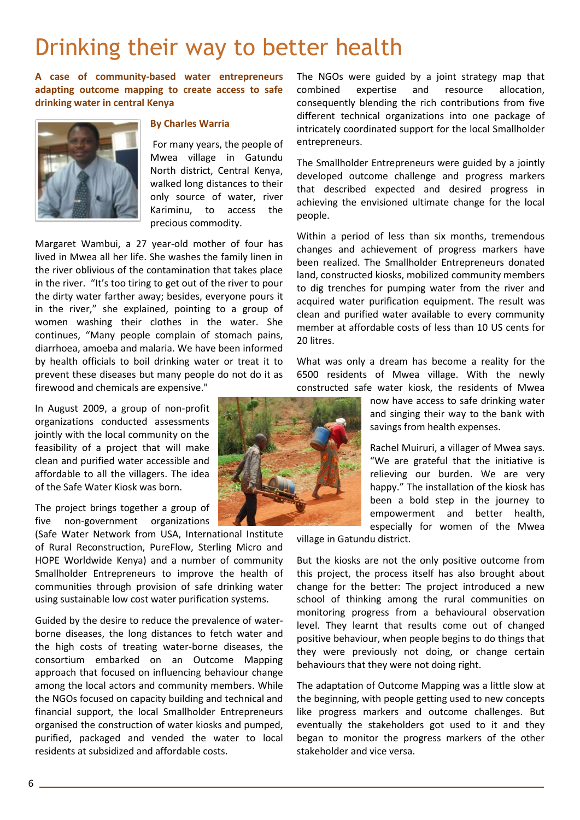### Drinking their way to better health

**A case of community-based water entrepreneurs adapting outcome mapping to create access to safe drinking water in central Kenya**



#### **By Charles Warria**

For many years, the people of Mwea village in Gatundu North district, Central Kenya, walked long distances to their only source of water, river Kariminu, to access the precious commodity.

Margaret Wambui, a 27 year-old mother of four has lived in Mwea all her life. She washes the family linen in the river oblivious of the contamination that takes place in the river. "It's too tiring to get out of the river to pour the dirty water farther away; besides, everyone pours it in the river," she explained, pointing to a group of women washing their clothes in the water. She continues, "Many people complain of stomach pains, diarrhoea, amoeba and malaria. We have been informed by health officials to boil drinking water or treat it to prevent these diseases but many people do not do it as firewood and chemicals are expensive."

In August 2009, a group of non-profit organizations conducted assessments jointly with the local community on the feasibility of a project that will make clean and purified water accessible and affordable to all the villagers. The idea of the Safe Water Kiosk was born.

The project brings together a group of five non-government organizations

(Safe Water Network from USA, International Institute of Rural Reconstruction, PureFlow, Sterling Micro and HOPE Worldwide Kenya) and a number of community Smallholder Entrepreneurs to improve the health of communities through provision of safe drinking water using sustainable low cost water purification systems.

Guided by the desire to reduce the prevalence of waterborne diseases, the long distances to fetch water and the high costs of treating water-borne diseases, the consortium embarked on an Outcome Mapping approach that focused on influencing behaviour change among the local actors and community members. While the NGOs focused on capacity building and technical and financial support, the local Smallholder Entrepreneurs organised the construction of water kiosks and pumped, purified, packaged and vended the water to local residents at subsidized and affordable costs.

The NGOs were guided by a joint strategy map that combined expertise and resource allocation, consequently blending the rich contributions from five different technical organizations into one package of intricately coordinated support for the local Smallholder entrepreneurs.

The Smallholder Entrepreneurs were guided by a jointly developed outcome challenge and progress markers that described expected and desired progress in achieving the envisioned ultimate change for the local people.

Within a period of less than six months, tremendous changes and achievement of progress markers have been realized. The Smallholder Entrepreneurs donated land, constructed kiosks, mobilized community members to dig trenches for pumping water from the river and acquired water purification equipment. The result was clean and purified water available to every community member at affordable costs of less than 10 US cents for 20 litres.

What was only a dream has become a reality for the 6500 residents of Mwea village. With the newly constructed safe water kiosk, the residents of Mwea

> now have access to safe drinking water and singing their way to the bank with savings from health expenses.

> Rachel Muiruri, a villager of Mwea says. "We are grateful that the initiative is relieving our burden. We are very happy." The installation of the kiosk has been a bold step in the journey to empowerment and better health, especially for women of the Mwea

village in Gatundu district.

But the kiosks are not the only positive outcome from this project, the process itself has also brought about change for the better: The project introduced a new school of thinking among the rural communities on monitoring progress from a behavioural observation level. They learnt that results come out of changed positive behaviour, when people begins to do things that they were previously not doing, or change certain behaviours that they were not doing right.

The adaptation of Outcome Mapping was a little slow at the beginning, with people getting used to new concepts like progress markers and outcome challenges. But eventually the stakeholders got used to it and they began to monitor the progress markers of the other stakeholder and vice versa.

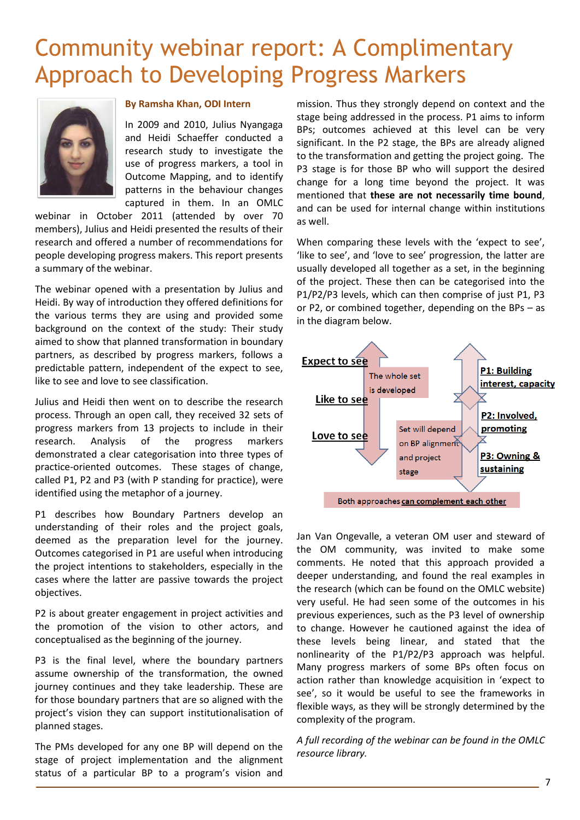### Community webinar report: A Complimentary Approach to Developing Progress Markers



### **By Ramsha Khan, ODI Intern**

In 2009 and 2010, Julius Nyangaga and Heidi Schaeffer conducted a research study to investigate the use of progress markers, a tool in Outcome Mapping, and to identify patterns in the behaviour changes captured in them. In an OMLC

webinar in October 2011 (attended by over 70 members), Julius and Heidi presented the results of their research and offered a number of recommendations for people developing progress makers. This report presents a summary of the webinar.

The webinar opened with a presentation by Julius and Heidi. By way of introduction they offered definitions for the various terms they are using and provided some background on the context of the study: Their study aimed to show that planned transformation in boundary partners, as described by progress markers, follows a predictable pattern, independent of the expect to see, like to see and love to see classification.

Julius and Heidi then went on to describe the research process. Through an open call, they received 32 sets of progress markers from 13 projects to include in their research. Analysis of the progress markers demonstrated a clear categorisation into three types of practice-oriented outcomes. These stages of change, called P1, P2 and P3 (with P standing for practice), were identified using the metaphor of a journey.

P1 describes how Boundary Partners develop an understanding of their roles and the project goals, deemed as the preparation level for the journey. Outcomes categorised in P1 are useful when introducing the project intentions to stakeholders, especially in the cases where the latter are passive towards the project objectives.

P2 is about greater engagement in project activities and the promotion of the vision to other actors, and conceptualised as the beginning of the journey.

P3 is the final level, where the boundary partners assume ownership of the transformation, the owned journey continues and they take leadership. These are for those boundary partners that are so aligned with the project's vision they can support institutionalisation of planned stages.

The PMs developed for any one BP will depend on the stage of project implementation and the alignment status of a particular BP to a program's vision and

mission. Thus they strongly depend on context and the stage being addressed in the process. P1 aims to inform BPs; outcomes achieved at this level can be very significant. In the P2 stage, the BPs are already aligned to the transformation and getting the project going. The P3 stage is for those BP who will support the desired change for a long time beyond the project. It was mentioned that **these are not necessarily time bound**, and can be used for internal change within institutions as well.

When comparing these levels with the 'expect to see', 'like to see', and 'love to see' progression, the latter are usually developed all together as a set, in the beginning of the project. These then can be categorised into the P1/P2/P3 levels, which can then comprise of just P1, P3 or P2, or combined together, depending on the BPs – as in the diagram below.



Jan Van Ongevalle, a veteran OM user and steward of the OM community, was invited to make some comments. He noted that this approach provided a deeper understanding, and found the real examples in the research (which can be found on the OMLC website) very useful. He had seen some of the outcomes in his previous experiences, such as the P3 level of ownership to change. However he cautioned against the idea of these levels being linear, and stated that the nonlinearity of the P1/P2/P3 approach was helpful. Many progress markers of some BPs often focus on action rather than knowledge acquisition in 'expect to see', so it would be useful to see the frameworks in flexible ways, as they will be strongly determined by the complexity of the program.

*A full recording of the webinar can be found in the OMLC resource library.*